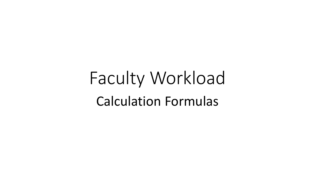# Faculty Workload Calculation Formulas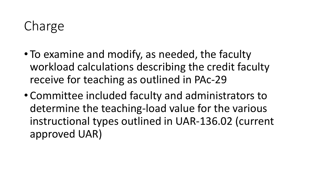### Charge

- To examine and modify, as needed, the faculty workload calculations describing the credit faculty receive for teaching as outlined in PAc-29
- Committee included faculty and administrators to determine the teaching-load value for the various instructional types outlined in UAR-136.02 (current approved UAR)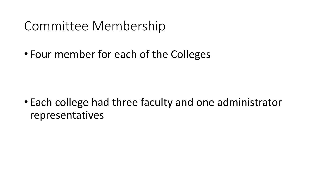#### Committee Membership

• Four member for each of the Colleges

• Each college had three faculty and one administrator representatives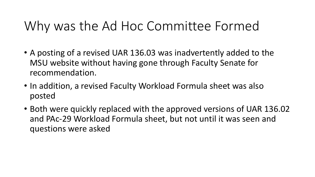#### Why was the Ad Hoc Committee Formed

- A posting of a revised UAR 136.03 was inadvertently added to the MSU website without having gone through Faculty Senate for recommendation.
- In addition, a revised Faculty Workload Formula sheet was also posted
- Both were quickly replaced with the approved versions of UAR 136.02 and PAc-29 Workload Formula sheet, but not until it was seen and questions were asked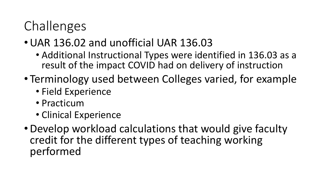## Challenges

#### •UAR 136.02 and unofficial UAR 136.03

- Additional Instructional Types were identified in 136.03 as a result of the impact COVID had on delivery of instruction
- Terminology used between Colleges varied, for example
	- Field Experience
	- Practicum
	- Clinical Experience
- •Develop workload calculations that would give faculty credit for the different types of teaching working performed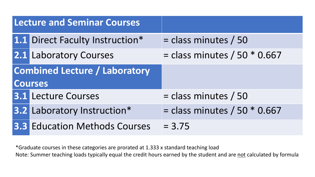| <b>Lecture and Seminar Courses</b>   |                                      |                                  |
|--------------------------------------|--------------------------------------|----------------------------------|
|                                      | 1.1 Direct Faculty Instruction*      | = class minutes / 50             |
|                                      | 2.1 Laboratory Courses               | $=$ class minutes / 50 $*$ 0.667 |
| <b>Combined Lecture / Laboratory</b> |                                      |                                  |
| <b>Courses</b>                       |                                      |                                  |
|                                      | <b>3.1 Lecture Courses</b>           | $=$ class minutes / 50           |
|                                      | 3.2 Laboratory Instruction*          | $=$ class minutes / 50 $*$ 0.667 |
|                                      | <b>3.3 Education Methods Courses</b> | $= 3.75$                         |

\*Graduate courses in these categories are prorated at 1.333 x standard teaching load Note: Summer teaching loads typically equal the credit hours earned by the student and are not calculated by formula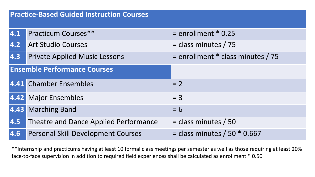| <b>Practice-Based Guided Instruction Courses</b> |                                           |                                   |
|--------------------------------------------------|-------------------------------------------|-----------------------------------|
| 4.1                                              | <b>Practicum Courses**</b>                | $=$ enrollment $*$ 0.25           |
| $\vert 4.2 \vert$                                | <b>Art Studio Courses</b>                 | $=$ class minutes / 75            |
| 4.3                                              | <b>Private Applied Music Lessons</b>      | = enrollment * class minutes / 75 |
| <b>Ensemble Performance Courses</b>              |                                           |                                   |
|                                                  | 4.41 Chamber Ensembles                    | $= 2$                             |
|                                                  | 4.42 Major Ensembles                      | $= 3$                             |
| $\vert 4.43 \vert$                               | <b>Marching Band</b>                      | $= 6$                             |
| 4.5                                              | Theatre and Dance Applied Performance     | $=$ class minutes / 50            |
| 4.6                                              | <b>Personal Skill Development Courses</b> | $=$ class minutes / 50 $*$ 0.667  |

\*\*Internship and practicums having at least 10 formal class meetings per semester as well as those requiring at least 20% face-to-face supervision in addition to required field experiences shall be calculated as enrollment \* 0.50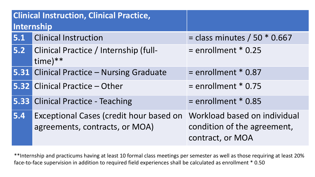| <b>Clinical Instruction, Clinical Practice,</b><br>Internship |                                                                           |                                                                                 |
|---------------------------------------------------------------|---------------------------------------------------------------------------|---------------------------------------------------------------------------------|
| 5.1                                                           | <b>Clinical Instruction</b>                                               | $=$ class minutes / 50 $*$ 0.667                                                |
|                                                               | 5.2 Clinical Practice / Internship (full-<br>$time)**$                    | $=$ enrollment $*$ 0.25                                                         |
|                                                               | <b>5.31 Clinical Practice - Nursing Graduate</b>                          | $=$ enrollment $*$ 0.87                                                         |
|                                                               | 5.32 Clinical Practice - Other                                            | $=$ enrollment $*$ 0.75                                                         |
|                                                               | <b>5.33 Clinical Practice - Teaching</b>                                  | $=$ enrollment $*$ 0.85                                                         |
| 5.4                                                           | Exceptional Cases (credit hour based on<br>agreements, contracts, or MOA) | Workload based on individual<br>condition of the agreement,<br>contract, or MOA |

\*\*Internship and practicums having at least 10 formal class meetings per semester as well as those requiring at least 20% face-to-face supervision in addition to required field experiences shall be calculated as enrollment \* 0.50